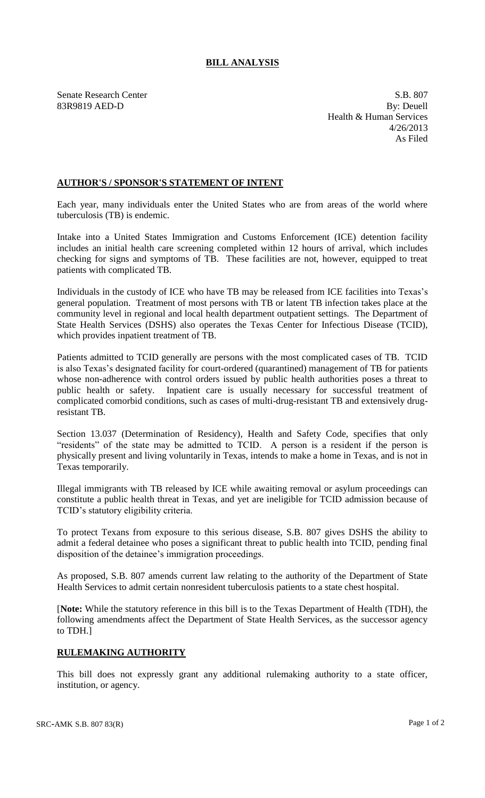## **BILL ANALYSIS**

Senate Research Center S.B. 807 83R9819 AED-D By: Deuell Health & Human Services 4/26/2013 As Filed

## **AUTHOR'S / SPONSOR'S STATEMENT OF INTENT**

Each year, many individuals enter the United States who are from areas of the world where tuberculosis (TB) is endemic.

Intake into a United States Immigration and Customs Enforcement (ICE) detention facility includes an initial health care screening completed within 12 hours of arrival, which includes checking for signs and symptoms of TB. These facilities are not, however, equipped to treat patients with complicated TB.

Individuals in the custody of ICE who have TB may be released from ICE facilities into Texas's general population. Treatment of most persons with TB or latent TB infection takes place at the community level in regional and local health department outpatient settings. The Department of State Health Services (DSHS) also operates the Texas Center for Infectious Disease (TCID), which provides inpatient treatment of TB.

Patients admitted to TCID generally are persons with the most complicated cases of TB. TCID is also Texas's designated facility for court-ordered (quarantined) management of TB for patients whose non-adherence with control orders issued by public health authorities poses a threat to public health or safety. Inpatient care is usually necessary for successful treatment of complicated comorbid conditions, such as cases of multi-drug-resistant TB and extensively drugresistant TB.

Section 13.037 (Determination of Residency), Health and Safety Code, specifies that only "residents" of the state may be admitted to TCID. A person is a resident if the person is physically present and living voluntarily in Texas, intends to make a home in Texas, and is not in Texas temporarily.

Illegal immigrants with TB released by ICE while awaiting removal or asylum proceedings can constitute a public health threat in Texas, and yet are ineligible for TCID admission because of TCID's statutory eligibility criteria.

To protect Texans from exposure to this serious disease, S.B. 807 gives DSHS the ability to admit a federal detainee who poses a significant threat to public health into TCID, pending final disposition of the detainee's immigration proceedings.

As proposed, S.B. 807 amends current law relating to the authority of the Department of State Health Services to admit certain nonresident tuberculosis patients to a state chest hospital.

[**Note:** While the statutory reference in this bill is to the Texas Department of Health (TDH), the following amendments affect the Department of State Health Services, as the successor agency to TDH.]

## **RULEMAKING AUTHORITY**

This bill does not expressly grant any additional rulemaking authority to a state officer, institution, or agency.